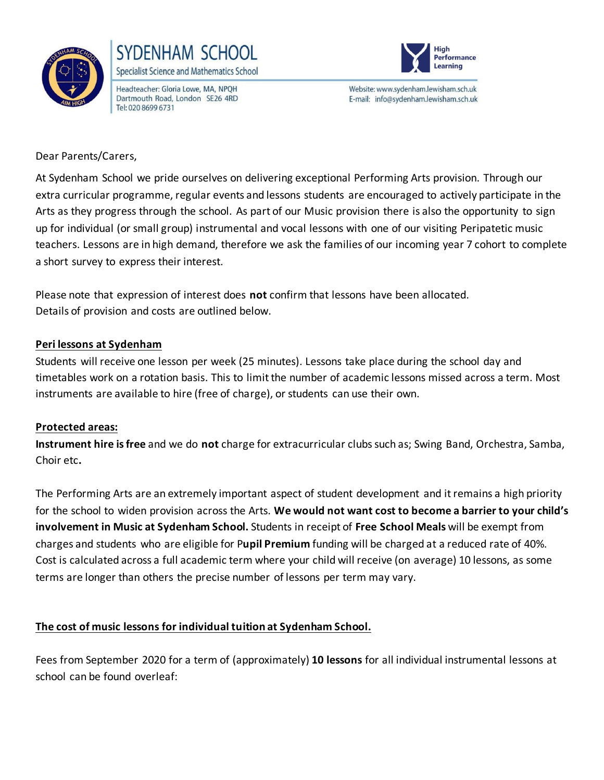



Headteacher: Gloria Lowe, MA, NPOH Dartmouth Road, London SE26 4RD Tel: 020 8699 6731



Website: www.sydenham.lewisham.sch.uk E-mail: info@sydenham.lewisham.sch.uk

Dear Parents/Carers,

At Sydenham School we pride ourselves on delivering exceptional Performing Arts provision. Through our extra curricular programme, regular events and lessons students are encouraged to actively participate in the Arts as they progress through the school. As part of our Music provision there is also the opportunity to sign up for individual (or small group) instrumental and vocal lessons with one of our visiting Peripatetic music teachers. Lessons are in high demand, therefore we ask the families of our incoming year 7 cohort to complete a short survey to express their interest.

Please note that expression of interest does **not** confirm that lessons have been allocated. Details of provision and costs are outlined below.

## **Peri lessons at Sydenham**

Students will receive one lesson per week (25 minutes). Lessons take place during the school day and timetables work on a rotation basis. This to limit the number of academic lessons missed across a term. Most instruments are available to hire (free of charge), or students can use their own.

## **Protected areas:**

**Instrument hire is free** and we do **not** charge for extracurricular clubs such as; Swing Band, Orchestra, Samba, Choir etc**.** 

The Performing Arts are an extremely important aspect of student development and it remains a high priority for the school to widen provision across the Arts. **We would not want cost to become a barrier to your child's involvement in Music at Sydenham School.** Students in receipt of **Free School Meals** will be exempt from charges and students who are eligible for P**upil Premium** funding will be charged at a reduced rate of 40%. Cost is calculated across a full academic term where your child will receive (on average) 10 lessons, as some terms are longer than others the precise number of lessons per term may vary.

## **The cost of music lessons for individual tuition at Sydenham School.**

Fees from September 2020 for a term of (approximately) **10 lessons** for all individual instrumental lessons at school can be found overleaf: